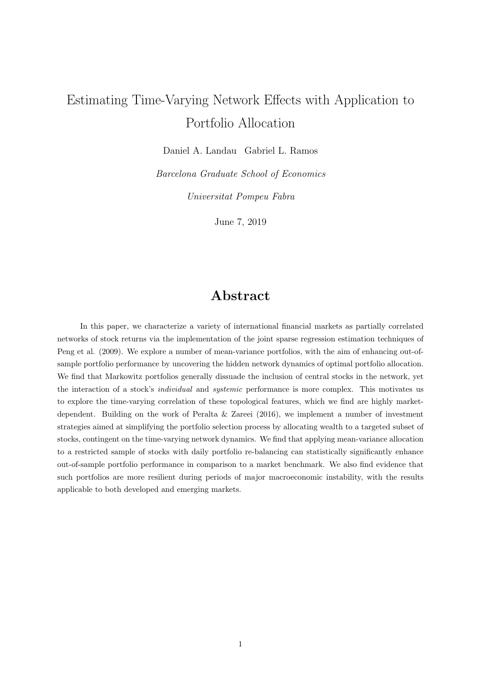# Estimating Time-Varying Network Effects with Application to Portfolio Allocation

Daniel A. Landau Gabriel L. Ramos

Barcelona Graduate School of Economics

Universitat Pompeu Fabra

June 7, 2019

## Abstract

In this paper, we characterize a variety of international financial markets as partially correlated networks of stock returns via the implementation of the joint sparse regression estimation techniques of Peng et al. (2009). We explore a number of mean-variance portfolios, with the aim of enhancing out-ofsample portfolio performance by uncovering the hidden network dynamics of optimal portfolio allocation. We find that Markowitz portfolios generally dissuade the inclusion of central stocks in the network, yet the interaction of a stock's individual and systemic performance is more complex. This motivates us to explore the time-varying correlation of these topological features, which we find are highly marketdependent. Building on the work of Peralta & Zareei (2016), we implement a number of investment strategies aimed at simplifying the portfolio selection process by allocating wealth to a targeted subset of stocks, contingent on the time-varying network dynamics. We find that applying mean-variance allocation to a restricted sample of stocks with daily portfolio re-balancing can statistically significantly enhance out-of-sample portfolio performance in comparison to a market benchmark. We also find evidence that such portfolios are more resilient during periods of major macroeconomic instability, with the results applicable to both developed and emerging markets.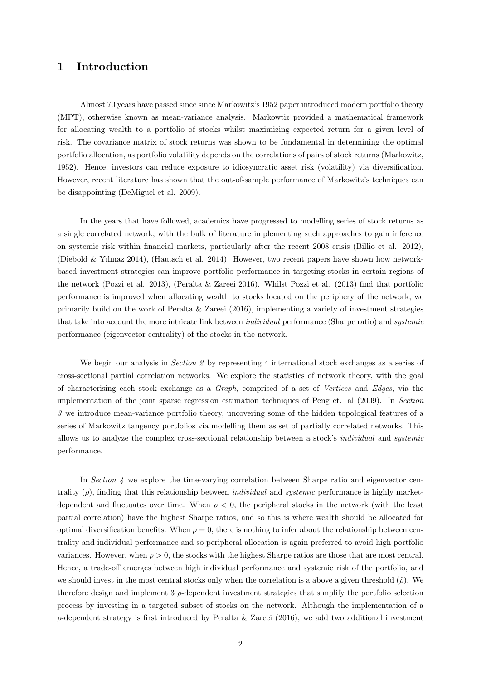### 1 Introduction

Almost 70 years have passed since since Markowitz's 1952 paper introduced modern portfolio theory (MPT), otherwise known as mean-variance analysis. Markowtiz provided a mathematical framework for allocating wealth to a portfolio of stocks whilst maximizing expected return for a given level of risk. The covariance matrix of stock returns was shown to be fundamental in determining the optimal portfolio allocation, as portfolio volatility depends on the correlations of pairs of stock returns (Markowitz, 1952). Hence, investors can reduce exposure to idiosyncratic asset risk (volatility) via diversification. However, recent literature has shown that the out-of-sample performance of Markowitz's techniques can be disappointing (DeMiguel et al. 2009).

In the years that have followed, academics have progressed to modelling series of stock returns as a single correlated network, with the bulk of literature implementing such approaches to gain inference on systemic risk within financial markets, particularly after the recent 2008 crisis (Billio et al. 2012), (Diebold & Yılmaz 2014), (Hautsch et al. 2014). However, two recent papers have shown how networkbased investment strategies can improve portfolio performance in targeting stocks in certain regions of the network (Pozzi et al. 2013), (Peralta & Zareei 2016). Whilst Pozzi et al. (2013) find that portfolio performance is improved when allocating wealth to stocks located on the periphery of the network, we primarily build on the work of Peralta & Zareei (2016), implementing a variety of investment strategies that take into account the more intricate link between individual performance (Sharpe ratio) and systemic performance (eigenvector centrality) of the stocks in the network.

We begin our analysis in *Section 2* by representing 4 international stock exchanges as a series of cross-sectional partial correlation networks. We explore the statistics of network theory, with the goal of characterising each stock exchange as a Graph, comprised of a set of Vertices and Edges, via the implementation of the joint sparse regression estimation techniques of Peng et. al (2009). In Section 3 we introduce mean-variance portfolio theory, uncovering some of the hidden topological features of a series of Markowitz tangency portfolios via modelling them as set of partially correlated networks. This allows us to analyze the complex cross-sectional relationship between a stock's individual and systemic performance.

In Section  $\ddot{A}$  we explore the time-varying correlation between Sharpe ratio and eigenvector centrality  $(\rho)$ , finding that this relationship between *individual* and *systemic* performance is highly marketdependent and fluctuates over time. When  $\rho < 0$ , the peripheral stocks in the network (with the least partial correlation) have the highest Sharpe ratios, and so this is where wealth should be allocated for optimal diversification benefits. When  $\rho = 0$ , there is nothing to infer about the relationship between centrality and individual performance and so peripheral allocation is again preferred to avoid high portfolio variances. However, when  $\rho > 0$ , the stocks with the highest Sharpe ratios are those that are most central. Hence, a trade-off emerges between high individual performance and systemic risk of the portfolio, and we should invest in the most central stocks only when the correlation is a above a given threshold  $(\tilde{\rho})$ . We therefore design and implement 3  $\rho$ -dependent investment strategies that simplify the portfolio selection process by investing in a targeted subset of stocks on the network. Although the implementation of a  $\rho$ -dependent strategy is first introduced by Peralta & Zareei (2016), we add two additional investment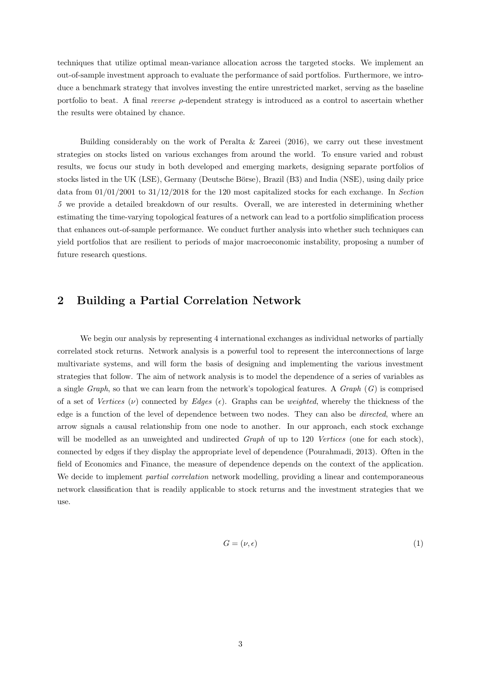techniques that utilize optimal mean-variance allocation across the targeted stocks. We implement an out-of-sample investment approach to evaluate the performance of said portfolios. Furthermore, we introduce a benchmark strategy that involves investing the entire unrestricted market, serving as the baseline portfolio to beat. A final *reverse*  $\rho$ -dependent strategy is introduced as a control to ascertain whether the results were obtained by chance.

Building considerably on the work of Peralta & Zareei  $(2016)$ , we carry out these investment strategies on stocks listed on various exchanges from around the world. To ensure varied and robust results, we focus our study in both developed and emerging markets, designing separate portfolios of stocks listed in the UK (LSE), Germany (Deutsche Börse), Brazil (B3) and India (NSE), using daily price data from 01/01/2001 to 31/12/2018 for the 120 most capitalized stocks for each exchange. In Section 5 we provide a detailed breakdown of our results. Overall, we are interested in determining whether estimating the time-varying topological features of a network can lead to a portfolio simplification process that enhances out-of-sample performance. We conduct further analysis into whether such techniques can yield portfolios that are resilient to periods of major macroeconomic instability, proposing a number of future research questions.

### 2 Building a Partial Correlation Network

We begin our analysis by representing 4 international exchanges as individual networks of partially correlated stock returns. Network analysis is a powerful tool to represent the interconnections of large multivariate systems, and will form the basis of designing and implementing the various investment strategies that follow. The aim of network analysis is to model the dependence of a series of variables as a single Graph, so that we can learn from the network's topological features. A  $Graph(G)$  is comprised of a set of Vertices (v) connected by Edges (e). Graphs can be weighted, whereby the thickness of the edge is a function of the level of dependence between two nodes. They can also be directed, where an arrow signals a causal relationship from one node to another. In our approach, each stock exchange will be modelled as an unweighted and undirected *Graph* of up to 120 Vertices (one for each stock), connected by edges if they display the appropriate level of dependence (Pourahmadi, 2013). Often in the field of Economics and Finance, the measure of dependence depends on the context of the application. We decide to implement *partial correlation* network modelling, providing a linear and contemporaneous network classification that is readily applicable to stock returns and the investment strategies that we use.

$$
G = (\nu, \epsilon) \tag{1}
$$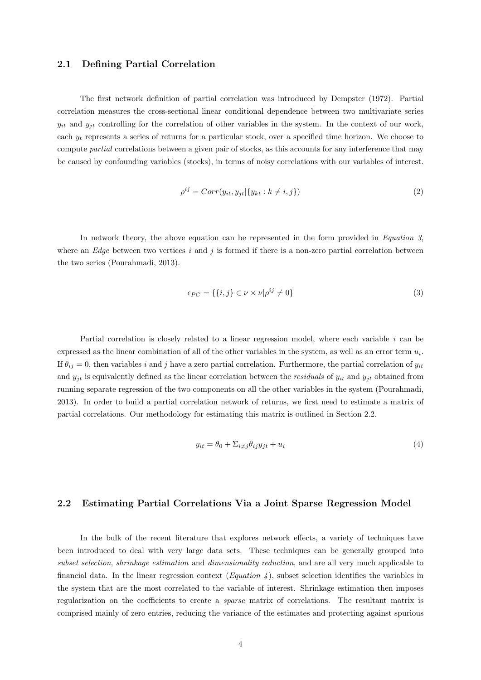#### 2.1 Defining Partial Correlation

The first network definition of partial correlation was introduced by Dempster (1972). Partial correlation measures the cross-sectional linear conditional dependence between two multivariate series  $y_{it}$  and  $y_{it}$  controlling for the correlation of other variables in the system. In the context of our work, each  $y_t$  represents a series of returns for a particular stock, over a specified time horizon. We choose to compute partial correlations between a given pair of stocks, as this accounts for any interference that may be caused by confounding variables (stocks), in terms of noisy correlations with our variables of interest.

$$
\rho^{ij} = Corr(y_{it}, y_{jt} | \{y_{kt} : k \neq i, j\})
$$
\n<sup>(2)</sup>

In network theory, the above equation can be represented in the form provided in Equation 3, where an Edge between two vertices i and j is formed if there is a non-zero partial correlation between the two series (Pourahmadi, 2013).

$$
\epsilon_{PC} = \{ \{i, j\} \in \nu \times \nu | \rho^{ij} \neq 0 \}
$$
\n
$$
(3)
$$

Partial correlation is closely related to a linear regression model, where each variable  $i$  can be expressed as the linear combination of all of the other variables in the system, as well as an error term  $u_i$ . If  $\theta_{ij} = 0$ , then variables i and j have a zero partial correlation. Furthermore, the partial correlation of  $y_{it}$ and  $y_{it}$  is equivalently defined as the linear correlation between the *residuals* of  $y_{it}$  and  $y_{it}$  obtained from running separate regression of the two components on all the other variables in the system (Pourahmadi, 2013). In order to build a partial correlation network of returns, we first need to estimate a matrix of partial correlations. Our methodology for estimating this matrix is outlined in Section 2.2.

$$
y_{it} = \theta_0 + \sum_{i \neq j} \theta_{ij} y_{jt} + u_i \tag{4}
$$

#### 2.2 Estimating Partial Correlations Via a Joint Sparse Regression Model

In the bulk of the recent literature that explores network effects, a variety of techniques have been introduced to deal with very large data sets. These techniques can be generally grouped into subset selection, shrinkage estimation and dimensionality reduction, and are all very much applicable to financial data. In the linear regression context (*Equation 4*), subset selection identifies the variables in the system that are the most correlated to the variable of interest. Shrinkage estimation then imposes regularization on the coefficients to create a sparse matrix of correlations. The resultant matrix is comprised mainly of zero entries, reducing the variance of the estimates and protecting against spurious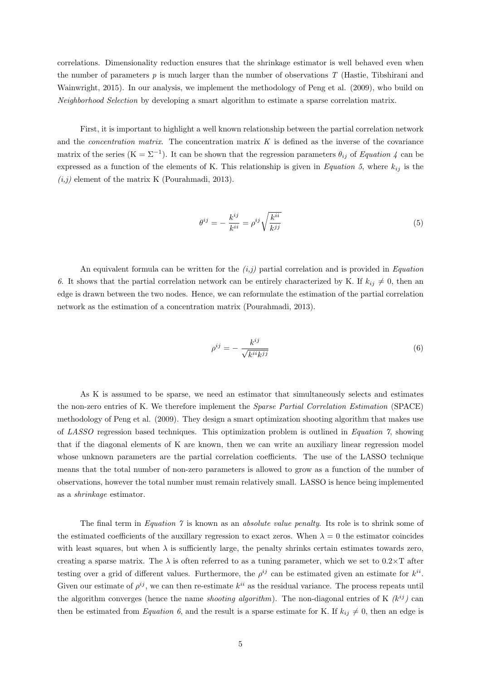correlations. Dimensionality reduction ensures that the shrinkage estimator is well behaved even when the number of parameters  $p$  is much larger than the number of observations  $T$  (Hastie, Tibshirani and Wainwright, 2015). In our analysis, we implement the methodology of Peng et al. (2009), who build on Neighborhood Selection by developing a smart algorithm to estimate a sparse correlation matrix.

First, it is important to highlight a well known relationship between the partial correlation network and the *concentration matrix*. The concentration matrix  $K$  is defined as the inverse of the covariance matrix of the series  $(K = \Sigma^{-1})$ . It can be shown that the regression parameters  $\theta_{ij}$  of Equation 4 can be expressed as a function of the elements of K. This relationship is given in Equation 5, where  $k_{ij}$  is the  $(i,j)$  element of the matrix K (Pourahmadi, 2013).

$$
\theta^{ij} = -\frac{k^{ij}}{k^{ii}} = \rho^{ij} \sqrt{\frac{k^{ii}}{k^{jj}}}
$$
\n(5)

An equivalent formula can be written for the  $(i,j)$  partial correlation and is provided in *Equation* 6. It shows that the partial correlation network can be entirely characterized by K. If  $k_{ij} \neq 0$ , then an edge is drawn between the two nodes. Hence, we can reformulate the estimation of the partial correlation network as the estimation of a concentration matrix (Pourahmadi, 2013).

$$
\rho^{ij} = -\frac{k^{ij}}{\sqrt{k^{ii}k^{jj}}}\tag{6}
$$

As K is assumed to be sparse, we need an estimator that simultaneously selects and estimates the non-zero entries of K. We therefore implement the Sparse Partial Correlation Estimation (SPACE) methodology of Peng et al. (2009). They design a smart optimization shooting algorithm that makes use of LASSO regression based techniques. This optimization problem is outlined in Equation 7, showing that if the diagonal elements of K are known, then we can write an auxiliary linear regression model whose unknown parameters are the partial correlation coefficients. The use of the LASSO technique means that the total number of non-zero parameters is allowed to grow as a function of the number of observations, however the total number must remain relatively small. LASSO is hence being implemented as a shrinkage estimator.

The final term in Equation  $\gamma$  is known as an absolute value penalty. Its role is to shrink some of the estimated coefficients of the auxillary regression to exact zeros. When  $\lambda = 0$  the estimator coincides with least squares, but when  $\lambda$  is sufficiently large, the penalty shrinks certain estimates towards zero, creating a sparse matrix. The  $\lambda$  is often referred to as a tuning parameter, which we set to  $0.2 \times T$  after testing over a grid of different values. Furthermore, the  $\rho^{ij}$  can be estimated given an estimate for  $k^{ii}$ . Given our estimate of  $\rho^{ij}$ , we can then re-estimate  $k^{ii}$  as the residual variance. The process repeats until the algorithm converges (hence the name *shooting algorithm*). The non-diagonal entries of K  $(k^{ij})$  can then be estimated from Equation 6, and the result is a sparse estimate for K. If  $k_{ij} \neq 0$ , then an edge is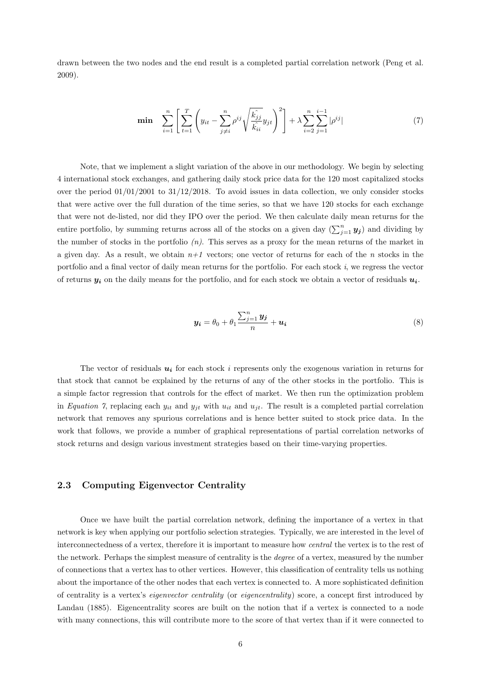drawn between the two nodes and the end result is a completed partial correlation network (Peng et al. 2009).

$$
\min \sum_{i=1}^{n} \left[ \sum_{t=1}^{T} \left( y_{it} - \sum_{j \neq i}^{n} \rho^{ij} \sqrt{\frac{k_{jj}}{k_{ii}}} y_{jt} \right)^2 \right] + \lambda \sum_{i=2}^{n} \sum_{j=1}^{i-1} |\rho^{ij}| \tag{7}
$$

Note, that we implement a slight variation of the above in our methodology. We begin by selecting 4 international stock exchanges, and gathering daily stock price data for the 120 most capitalized stocks over the period  $01/01/2001$  to  $31/12/2018$ . To avoid issues in data collection, we only consider stocks that were active over the full duration of the time series, so that we have 120 stocks for each exchange that were not de-listed, nor did they IPO over the period. We then calculate daily mean returns for the entire portfolio, by summing returns across all of the stocks on a given day  $(\sum_{j=1}^n y_j)$  and dividing by the number of stocks in the portfolio  $(n)$ . This serves as a proxy for the mean returns of the market in a given day. As a result, we obtain  $n+1$  vectors; one vector of returns for each of the n stocks in the portfolio and a final vector of daily mean returns for the portfolio. For each stock i, we regress the vector of returns  $y_i$  on the daily means for the portfolio, and for each stock we obtain a vector of residuals  $u_i$ .

$$
\mathbf{y_i} = \theta_0 + \theta_1 \frac{\sum_{j=1}^n \mathbf{y_j}}{n} + \mathbf{u_i}
$$
\n
$$
\tag{8}
$$

The vector of residuals  $u_i$  for each stock i represents only the exogenous variation in returns for that stock that cannot be explained by the returns of any of the other stocks in the portfolio. This is a simple factor regression that controls for the effect of market. We then run the optimization problem in Equation 7, replacing each  $y_{it}$  and  $y_{jt}$  with  $u_{it}$  and  $u_{jt}$ . The result is a completed partial correlation network that removes any spurious correlations and is hence better suited to stock price data. In the work that follows, we provide a number of graphical representations of partial correlation networks of stock returns and design various investment strategies based on their time-varying properties.

#### 2.3 Computing Eigenvector Centrality

Once we have built the partial correlation network, defining the importance of a vertex in that network is key when applying our portfolio selection strategies. Typically, we are interested in the level of interconnectedness of a vertex, therefore it is important to measure how central the vertex is to the rest of the network. Perhaps the simplest measure of centrality is the *degree* of a vertex, measured by the number of connections that a vertex has to other vertices. However, this classification of centrality tells us nothing about the importance of the other nodes that each vertex is connected to. A more sophisticated definition of centrality is a vertex's eigenvector centrality (or eigencentrality) score, a concept first introduced by Landau (1885). Eigencentrality scores are built on the notion that if a vertex is connected to a node with many connections, this will contribute more to the score of that vertex than if it were connected to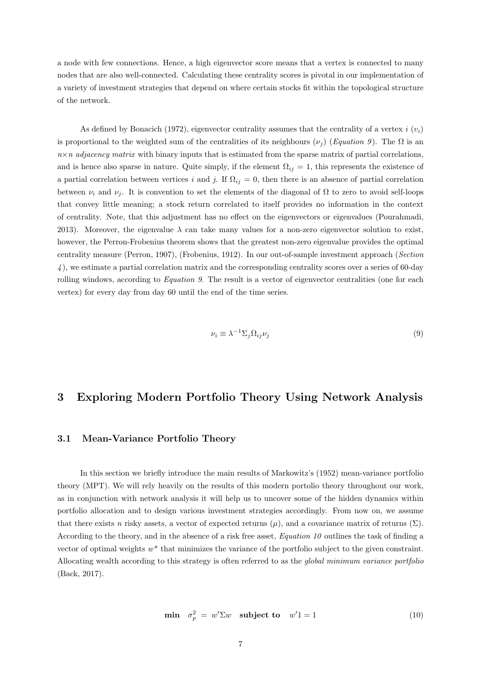a node with few connections. Hence, a high eigenvector score means that a vertex is connected to many nodes that are also well-connected. Calculating these centrality scores is pivotal in our implementation of a variety of investment strategies that depend on where certain stocks fit within the topological structure of the network.

As defined by Bonacich (1972), eigenvector centrality assumes that the centrality of a vertex i  $(v_i)$ is proportional to the weighted sum of the centralities of its neighbours  $(\nu_i)$  (Equation 9). The  $\Omega$  is an  $n \times n$  adjacency matrix with binary inputs that is estimated from the sparse matrix of partial correlations, and is hence also sparse in nature. Quite simply, if the element  $\Omega_{ij} = 1$ , this represents the existence of a partial correlation between vertices i and j. If  $\Omega_{ij} = 0$ , then there is an absence of partial correlation between  $\nu_i$  and  $\nu_j$ . It is convention to set the elements of the diagonal of  $\Omega$  to zero to avoid self-loops that convey little meaning; a stock return correlated to itself provides no information in the context of centrality. Note, that this adjustment has no effect on the eigenvectors or eigenvalues (Pourahmadi, 2013). Moreover, the eigenvalue  $\lambda$  can take many values for a non-zero eigenvector solution to exist, however, the Perron-Frobenius theorem shows that the greatest non-zero eigenvalue provides the optimal centrality measure (Perron, 1907), (Frobenius, 1912). In our out-of-sample investment approach (Section 4 ), we estimate a partial correlation matrix and the corresponding centrality scores over a series of 60-day rolling windows, according to *Equation 9*. The result is a vector of eigenvector centralities (one for each vertex) for every day from day 60 until the end of the time series.

$$
\nu_i \equiv \lambda^{-1} \Sigma_j \Omega_{ij} \nu_j \tag{9}
$$

### 3 Exploring Modern Portfolio Theory Using Network Analysis

#### 3.1 Mean-Variance Portfolio Theory

In this section we briefly introduce the main results of Markowitz's (1952) mean-variance portfolio theory (MPT). We will rely heavily on the results of this modern portolio theory throughout our work, as in conjunction with network analysis it will help us to uncover some of the hidden dynamics within portfolio allocation and to design various investment strategies accordingly. From now on, we assume that there exists n risky assets, a vector of expected returns  $(\mu)$ , and a covariance matrix of returns  $(\Sigma)$ . According to the theory, and in the absence of a risk free asset, Equation 10 outlines the task of finding a vector of optimal weights  $w^*$  that minimizes the variance of the portfolio subject to the given constraint. Allocating wealth according to this strategy is often referred to as the *global minimum variance portfolio* (Back, 2017).

$$
\min \quad \sigma_p^2 \ = \ w' \Sigma w \quad \text{subject to} \quad w' 1 = 1 \tag{10}
$$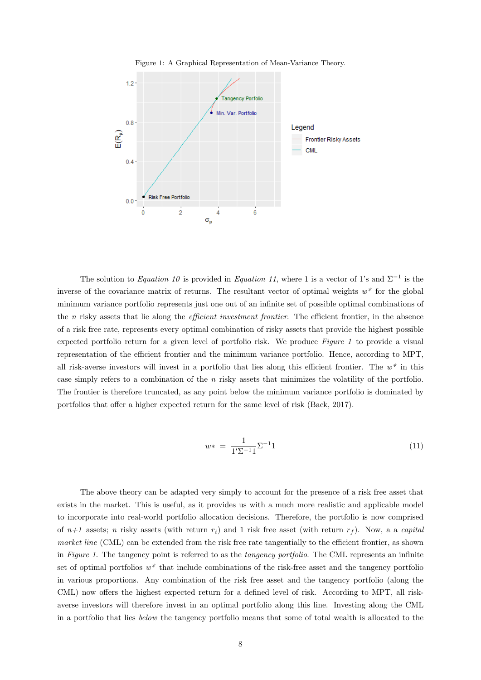

Figure 1: A Graphical Representation of Mean-Variance Theory.

The solution to Equation 10 is provided in Equation 11, where 1 is a vector of 1's and  $\Sigma^{-1}$  is the inverse of the covariance matrix of returns. The resultant vector of optimal weights  $w^*$  for the global minimum variance portfolio represents just one out of an infinite set of possible optimal combinations of the n risky assets that lie along the efficient investment frontier. The efficient frontier, in the absence of a risk free rate, represents every optimal combination of risky assets that provide the highest possible expected portfolio return for a given level of portfolio risk. We produce Figure 1 to provide a visual representation of the efficient frontier and the minimum variance portfolio. Hence, according to MPT, all risk-averse investors will invest in a portfolio that lies along this efficient frontier. The  $w^*$  in this case simply refers to a combination of the n risky assets that minimizes the volatility of the portfolio. The frontier is therefore truncated, as any point below the minimum variance portfolio is dominated by portfolios that offer a higher expected return for the same level of risk (Back, 2017).

$$
w* = \frac{1}{1^{\prime}\Sigma^{-1}1}\Sigma^{-1}1\tag{11}
$$

The above theory can be adapted very simply to account for the presence of a risk free asset that exists in the market. This is useful, as it provides us with a much more realistic and applicable model to incorporate into real-world portfolio allocation decisions. Therefore, the portfolio is now comprised of  $n+1$  assets; n risky assets (with return  $r_i$ ) and 1 risk free asset (with return  $r_f$ ). Now, a a capital market line (CML) can be extended from the risk free rate tangentially to the efficient frontier, as shown in Figure 1. The tangency point is referred to as the *tangency portfolio*. The CML represents an infinite set of optimal portfolios  $w^*$  that include combinations of the risk-free asset and the tangency portfolio in various proportions. Any combination of the risk free asset and the tangency portfolio (along the CML) now offers the highest expected return for a defined level of risk. According to MPT, all riskaverse investors will therefore invest in an optimal portfolio along this line. Investing along the CML in a portfolio that lies below the tangency portfolio means that some of total wealth is allocated to the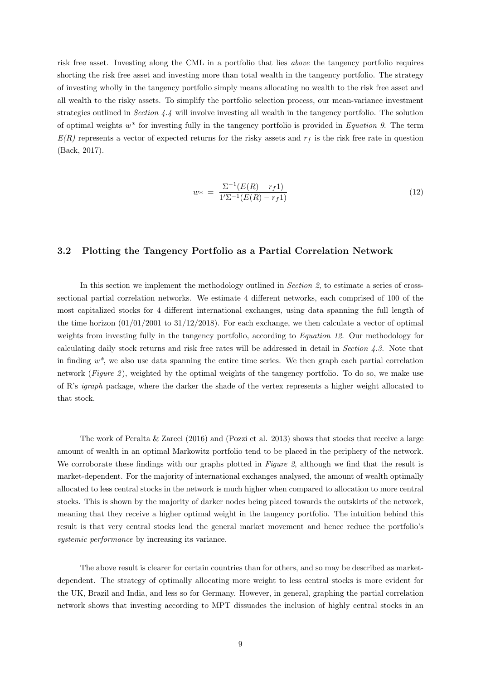risk free asset. Investing along the CML in a portfolio that lies above the tangency portfolio requires shorting the risk free asset and investing more than total wealth in the tangency portfolio. The strategy of investing wholly in the tangency portfolio simply means allocating no wealth to the risk free asset and all wealth to the risky assets. To simplify the portfolio selection process, our mean-variance investment strategies outlined in Section 4.4 will involve investing all wealth in the tangency portfolio. The solution of optimal weights  $w^*$  for investing fully in the tangency portfolio is provided in Equation 9. The term  $E(R)$  represents a vector of expected returns for the risky assets and  $r<sub>f</sub>$  is the risk free rate in question (Back, 2017).

$$
w* = \frac{\Sigma^{-1}(E(R) - r_f 1)}{1'\Sigma^{-1}(E(R) - r_f 1)}
$$
\n(12)

#### 3.2 Plotting the Tangency Portfolio as a Partial Correlation Network

In this section we implement the methodology outlined in *Section 2*, to estimate a series of crosssectional partial correlation networks. We estimate 4 different networks, each comprised of 100 of the most capitalized stocks for 4 different international exchanges, using data spanning the full length of the time horizon  $(01/01/2001$  to  $31/12/2018)$ . For each exchange, we then calculate a vector of optimal weights from investing fully in the tangency portfolio, according to Equation 12. Our methodology for calculating daily stock returns and risk free rates will be addressed in detail in Section  $4.3$ . Note that in finding  $w^*$ , we also use data spanning the entire time series. We then graph each partial correlation network (Figure 2), weighted by the optimal weights of the tangency portfolio. To do so, we make use of R's igraph package, where the darker the shade of the vertex represents a higher weight allocated to that stock.

The work of Peralta & Zareei (2016) and (Pozzi et al. 2013) shows that stocks that receive a large amount of wealth in an optimal Markowitz portfolio tend to be placed in the periphery of the network. We corroborate these findings with our graphs plotted in Figure 2, although we find that the result is market-dependent. For the majority of international exchanges analysed, the amount of wealth optimally allocated to less central stocks in the network is much higher when compared to allocation to more central stocks. This is shown by the majority of darker nodes being placed towards the outskirts of the network, meaning that they receive a higher optimal weight in the tangency portfolio. The intuition behind this result is that very central stocks lead the general market movement and hence reduce the portfolio's systemic performance by increasing its variance.

The above result is clearer for certain countries than for others, and so may be described as marketdependent. The strategy of optimally allocating more weight to less central stocks is more evident for the UK, Brazil and India, and less so for Germany. However, in general, graphing the partial correlation network shows that investing according to MPT dissuades the inclusion of highly central stocks in an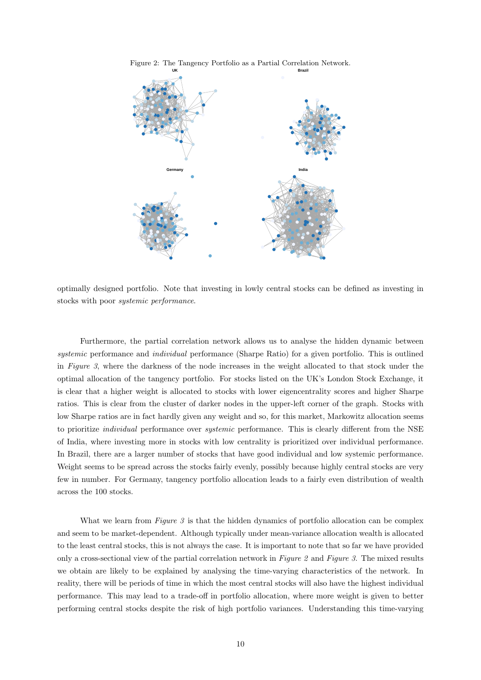

Figure 2: The Tangency Portfolio as a Partial Correlation Network.

optimally designed portfolio. Note that investing in lowly central stocks can be defined as investing in stocks with poor systemic performance.

Furthermore, the partial correlation network allows us to analyse the hidden dynamic between systemic performance and *individual* performance (Sharpe Ratio) for a given portfolio. This is outlined in Figure 3, where the darkness of the node increases in the weight allocated to that stock under the optimal allocation of the tangency portfolio. For stocks listed on the UK's London Stock Exchange, it is clear that a higher weight is allocated to stocks with lower eigencentrality scores and higher Sharpe ratios. This is clear from the cluster of darker nodes in the upper-left corner of the graph. Stocks with low Sharpe ratios are in fact hardly given any weight and so, for this market, Markowitz allocation seems to prioritize individual performance over systemic performance. This is clearly different from the NSE of India, where investing more in stocks with low centrality is prioritized over individual performance. In Brazil, there are a larger number of stocks that have good individual and low systemic performance. Weight seems to be spread across the stocks fairly evenly, possibly because highly central stocks are very few in number. For Germany, tangency portfolio allocation leads to a fairly even distribution of wealth across the 100 stocks.

What we learn from  $Figure 3$  is that the hidden dynamics of portfolio allocation can be complex and seem to be market-dependent. Although typically under mean-variance allocation wealth is allocated to the least central stocks, this is not always the case. It is important to note that so far we have provided only a cross-sectional view of the partial correlation network in Figure 2 and Figure 3. The mixed results we obtain are likely to be explained by analysing the time-varying characteristics of the network. In reality, there will be periods of time in which the most central stocks will also have the highest individual performance. This may lead to a trade-off in portfolio allocation, where more weight is given to better performing central stocks despite the risk of high portfolio variances. Understanding this time-varying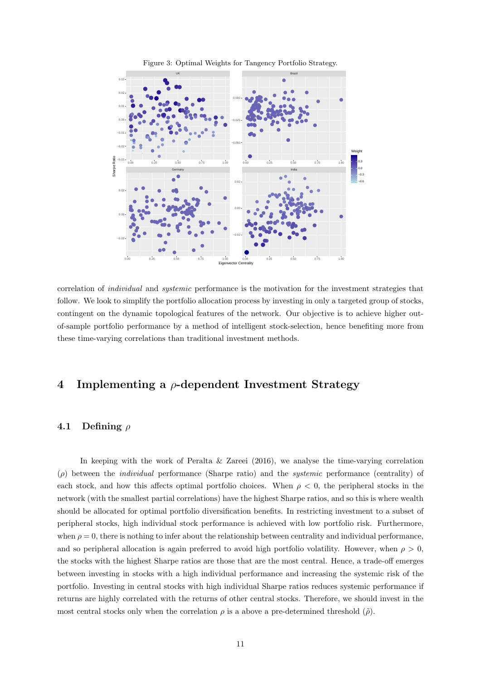

Figure 3: Optimal Weights for Tangency Portfolio Strategy.

correlation of individual and systemic performance is the motivation for the investment strategies that follow. We look to simplify the portfolio allocation process by investing in only a targeted group of stocks, contingent on the dynamic topological features of the network. Our objective is to achieve higher outof-sample portfolio performance by a method of intelligent stock-selection, hence benefiting more from these time-varying correlations than traditional investment methods.

### 4 Implementing a  $\rho$ -dependent Investment Strategy

#### 4.1 Defining  $\rho$

In keeping with the work of Peralta  $&$  Zareei (2016), we analyse the time-varying correlation  $(\rho)$  between the *individual* performance (Sharpe ratio) and the *systemic* performance (centrality) of each stock, and how this affects optimal portfolio choices. When  $\rho < 0$ , the peripheral stocks in the network (with the smallest partial correlations) have the highest Sharpe ratios, and so this is where wealth should be allocated for optimal portfolio diversification benefits. In restricting investment to a subset of peripheral stocks, high individual stock performance is achieved with low portfolio risk. Furthermore, when  $\rho = 0$ , there is nothing to infer about the relationship between centrality and individual performance, and so peripheral allocation is again preferred to avoid high portfolio volatility. However, when  $\rho > 0$ , the stocks with the highest Sharpe ratios are those that are the most central. Hence, a trade-off emerges between investing in stocks with a high individual performance and increasing the systemic risk of the portfolio. Investing in central stocks with high individual Sharpe ratios reduces systemic performance if returns are highly correlated with the returns of other central stocks. Therefore, we should invest in the most central stocks only when the correlation  $\rho$  is a above a pre-determined threshold  $(\tilde{\rho})$ .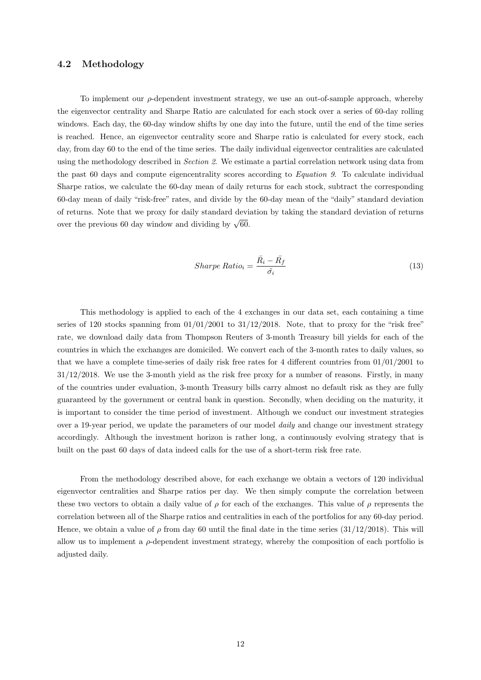#### 4.2 Methodology

To implement our  $\rho$ -dependent investment strategy, we use an out-of-sample approach, whereby the eigenvector centrality and Sharpe Ratio are calculated for each stock over a series of 60-day rolling windows. Each day, the 60-day window shifts by one day into the future, until the end of the time series is reached. Hence, an eigenvector centrality score and Sharpe ratio is calculated for every stock, each day, from day 60 to the end of the time series. The daily individual eigenvector centralities are calculated using the methodology described in Section 2. We estimate a partial correlation network using data from the past 60 days and compute eigencentrality scores according to Equation 9. To calculate individual Sharpe ratios, we calculate the 60-day mean of daily returns for each stock, subtract the corresponding 60-day mean of daily "risk-free" rates, and divide by the 60-day mean of the "daily" standard deviation of returns. Note that we proxy for daily standard deviation by taking the standard deviation of returns over the previous 60 day window and dividing by  $\sqrt{60}$ .

$$
Sharpe Ratio_i = \frac{\bar{R}_i - \bar{R}_f}{\tilde{\sigma}_i} \tag{13}
$$

This methodology is applied to each of the 4 exchanges in our data set, each containing a time series of 120 stocks spanning from  $01/01/2001$  to  $31/12/2018$ . Note, that to proxy for the "risk free" rate, we download daily data from Thompson Reuters of 3-month Treasury bill yields for each of the countries in which the exchanges are domiciled. We convert each of the 3-month rates to daily values, so that we have a complete time-series of daily risk free rates for 4 different countries from 01/01/2001 to 31/12/2018. We use the 3-month yield as the risk free proxy for a number of reasons. Firstly, in many of the countries under evaluation, 3-month Treasury bills carry almost no default risk as they are fully guaranteed by the government or central bank in question. Secondly, when deciding on the maturity, it is important to consider the time period of investment. Although we conduct our investment strategies over a 19-year period, we update the parameters of our model *daily* and change our investment strategy accordingly. Although the investment horizon is rather long, a continuously evolving strategy that is built on the past 60 days of data indeed calls for the use of a short-term risk free rate.

From the methodology described above, for each exchange we obtain a vectors of 120 individual eigenvector centralities and Sharpe ratios per day. We then simply compute the correlation between these two vectors to obtain a daily value of  $\rho$  for each of the exchanges. This value of  $\rho$  represents the correlation between all of the Sharpe ratios and centralities in each of the portfolios for any 60-day period. Hence, we obtain a value of  $\rho$  from day 60 until the final date in the time series (31/12/2018). This will allow us to implement a  $\rho$ -dependent investment strategy, whereby the composition of each portfolio is adjusted daily.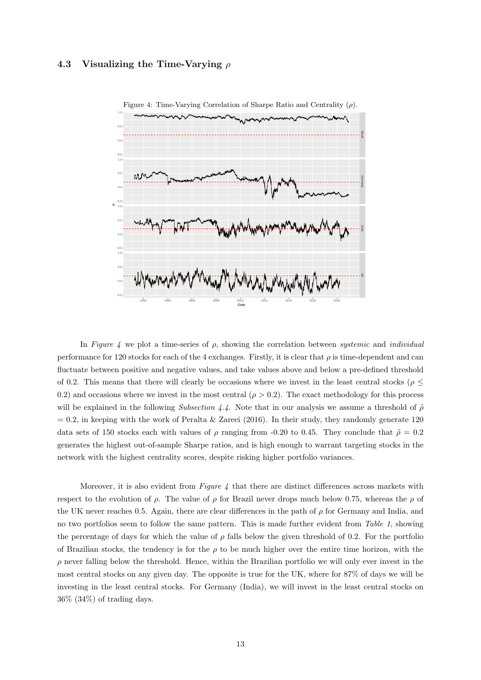#### 4.3 Visualizing the Time-Varying  $\rho$



In Figure 4 we plot a time-series of  $\rho$ , showing the correlation between *systemic* and *individual* performance for 120 stocks for each of the 4 exchanges. Firstly, it is clear that  $\rho$  is time-dependent and can fluctuate between positive and negative values, and take values above and below a pre-defined threshold of 0.2. This means that there will clearly be occasions where we invest in the least central stocks ( $\rho \leq$ 0.2) and occasions where we invest in the most central ( $\rho > 0.2$ ). The exact methodology for this process will be explained in the following Subsection 4.4. Note that in our analysis we assume a threshold of  $\tilde{\rho}$  $= 0.2$ , in keeping with the work of Peralta & Zareei (2016). In their study, they randomly generate 120 data sets of 150 stocks each with values of  $\rho$  ranging from -0.20 to 0.45. They conclude that  $\tilde{\rho} = 0.2$ generates the highest out-of-sample Sharpe ratios, and is high enough to warrant targeting stocks in the network with the highest centrality scores, despite risking higher portfolio variances.

Moreover, it is also evident from Figure  $\lambda$  that there are distinct differences across markets with respect to the evolution of  $\rho$ . The value of  $\rho$  for Brazil never drops much below 0.75, whereas the  $\rho$  of the UK never reaches 0.5. Again, there are clear differences in the path of  $\rho$  for Germany and India, and no two portfolios seem to follow the same pattern. This is made further evident from Table 1, showing the percentage of days for which the value of  $\rho$  falls below the given threshold of 0.2. For the portfolio of Brazilian stocks, the tendency is for the  $\rho$  to be much higher over the entire time horizon, with the  $\rho$  never falling below the threshold. Hence, within the Brazilian portfolio we will only ever invest in the most central stocks on any given day. The opposite is true for the UK, where for 87% of days we will be investing in the least central stocks. For Germany (India), we will invest in the least central stocks on 36% (34%) of trading days.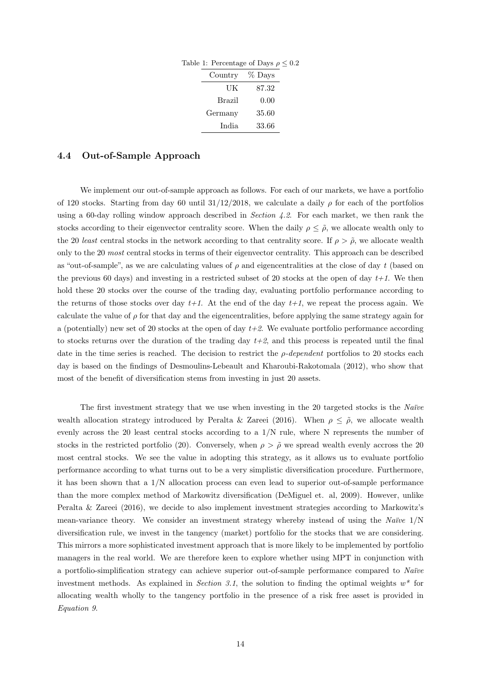| Table 1: Percentage of Days $\rho \leq 0.2$ |       |  |
|---------------------------------------------|-------|--|
| Country % Days                              |       |  |
| UK                                          | 87.32 |  |
| Brazil                                      | 0.00  |  |
| Germany                                     | 35.60 |  |
| India                                       | 33.66 |  |

#### 4.4 Out-of-Sample Approach

We implement our out-of-sample approach as follows. For each of our markets, we have a portfolio of 120 stocks. Starting from day 60 until  $31/12/2018$ , we calculate a daily  $\rho$  for each of the portfolios using a 60-day rolling window approach described in Section 4.2. For each market, we then rank the stocks according to their eigenvector centrality score. When the daily  $\rho \leq \tilde{\rho}$ , we allocate wealth only to the 20 least central stocks in the network according to that centrality score. If  $\rho > \tilde{\rho}$ , we allocate wealth only to the 20 most central stocks in terms of their eigenvector centrality. This approach can be described as "out-of-sample", as we are calculating values of  $\rho$  and eigencentralities at the close of day t (based on the previous 60 days) and investing in a restricted subset of 20 stocks at the open of day  $t+1$ . We then hold these 20 stocks over the course of the trading day, evaluating portfolio performance according to the returns of those stocks over day  $t+1$ . At the end of the day  $t+1$ , we repeat the process again. We calculate the value of  $\rho$  for that day and the eigencentralities, before applying the same strategy again for a (potentially) new set of 20 stocks at the open of day  $t+2$ . We evaluate portfolio performance according to stocks returns over the duration of the trading day  $t+2$ , and this process is repeated until the final date in the time series is reached. The decision to restrict the  $\rho$ -dependent portfolios to 20 stocks each day is based on the findings of Desmoulins-Lebeault and Kharoubi-Rakotomala (2012), who show that most of the benefit of diversification stems from investing in just 20 assets.

The first investment strategy that we use when investing in the 20 targeted stocks is the Naïve wealth allocation strategy introduced by Peralta & Zareei (2016). When  $\rho \leq \tilde{\rho}$ , we allocate wealth evenly across the 20 least central stocks according to a 1/N rule, where N represents the number of stocks in the restricted portfolio (20). Conversely, when  $\rho > \tilde{\rho}$  we spread wealth evenly accross the 20 most central stocks. We see the value in adopting this strategy, as it allows us to evaluate portfolio performance according to what turns out to be a very simplistic diversification procedure. Furthermore, it has been shown that a  $1/N$  allocation process can even lead to superior out-of-sample performance than the more complex method of Markowitz diversification (DeMiguel et. al, 2009). However, unlike Peralta & Zareei (2016), we decide to also implement investment strategies according to Markowitz's mean-variance theory. We consider an investment strategy whereby instead of using the Naïve  $1/N$ diversification rule, we invest in the tangency (market) portfolio for the stocks that we are considering. This mirrors a more sophisticated investment approach that is more likely to be implemented by portfolio managers in the real world. We are therefore keen to explore whether using MPT in conjunction with a portfolio-simplification strategy can achieve superior out-of-sample performance compared to Naïve investment methods. As explained in Section 3.1, the solution to finding the optimal weights  $w^*$  for allocating wealth wholly to the tangency portfolio in the presence of a risk free asset is provided in Equation 9.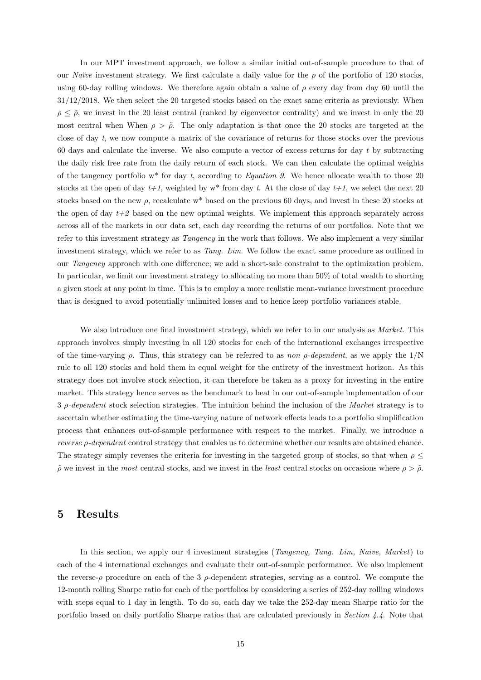In our MPT investment approach, we follow a similar initial out-of-sample procedure to that of our Naïve investment strategy. We first calculate a daily value for the  $\rho$  of the portfolio of 120 stocks, using 60-day rolling windows. We therefore again obtain a value of  $\rho$  every day from day 60 until the 31/12/2018. We then select the 20 targeted stocks based on the exact same criteria as previously. When  $\rho \leq \tilde{\rho}$ , we invest in the 20 least central (ranked by eigenvector centrality) and we invest in only the 20 most central when When  $\rho > \tilde{\rho}$ . The only adaptation is that once the 20 stocks are targeted at the close of day t, we now compute a matrix of the covariance of returns for those stocks over the previous 60 days and calculate the inverse. We also compute a vector of excess returns for day  $t$  by subtracting the daily risk free rate from the daily return of each stock. We can then calculate the optimal weights of the tangency portfolio  $w^*$  for day t, according to Equation 9. We hence allocate wealth to those 20 stocks at the open of day  $t+1$ , weighted by w<sup>\*</sup> from day t. At the close of day  $t+1$ , we select the next 20 stocks based on the new  $\rho$ , recalculate w<sup>\*</sup> based on the previous 60 days, and invest in these 20 stocks at the open of day  $t+2$  based on the new optimal weights. We implement this approach separately across across all of the markets in our data set, each day recording the returns of our portfolios. Note that we refer to this investment strategy as *Tangency* in the work that follows. We also implement a very similar investment strategy, which we refer to as Tang. Lim. We follow the exact same procedure as outlined in our Tangency approach with one difference; we add a short-sale constraint to the optimization problem. In particular, we limit our investment strategy to allocating no more than 50% of total wealth to shorting a given stock at any point in time. This is to employ a more realistic mean-variance investment procedure that is designed to avoid potentially unlimited losses and to hence keep portfolio variances stable.

We also introduce one final investment strategy, which we refer to in our analysis as *Market*. This approach involves simply investing in all 120 stocks for each of the international exchanges irrespective of the time-varying  $\rho$ . Thus, this strategy can be referred to as non  $\rho$ -dependent, as we apply the  $1/N$ rule to all 120 stocks and hold them in equal weight for the entirety of the investment horizon. As this strategy does not involve stock selection, it can therefore be taken as a proxy for investing in the entire market. This strategy hence serves as the benchmark to beat in our out-of-sample implementation of our  $3 \rho$ -dependent stock selection strategies. The intuition behind the inclusion of the Market strategy is to ascertain whether estimating the time-varying nature of network effects leads to a portfolio simplification process that enhances out-of-sample performance with respect to the market. Finally, we introduce a *reverse*  $\rho$ *-dependent* control strategy that enables us to determine whether our results are obtained chance. The strategy simply reverses the criteria for investing in the targeted group of stocks, so that when  $\rho \leq$  $\tilde{\rho}$  we invest in the most central stocks, and we invest in the least central stocks on occasions where  $\rho > \tilde{\rho}$ .

### 5 Results

In this section, we apply our 4 investment strategies (Tangency, Tang. Lim, Naive, Market) to each of the 4 international exchanges and evaluate their out-of-sample performance. We also implement the reverse- $\rho$  procedure on each of the 3  $\rho$ -dependent strategies, serving as a control. We compute the 12-month rolling Sharpe ratio for each of the portfolios by considering a series of 252-day rolling windows with steps equal to 1 day in length. To do so, each day we take the 252-day mean Sharpe ratio for the portfolio based on daily portfolio Sharpe ratios that are calculated previously in Section 4.4. Note that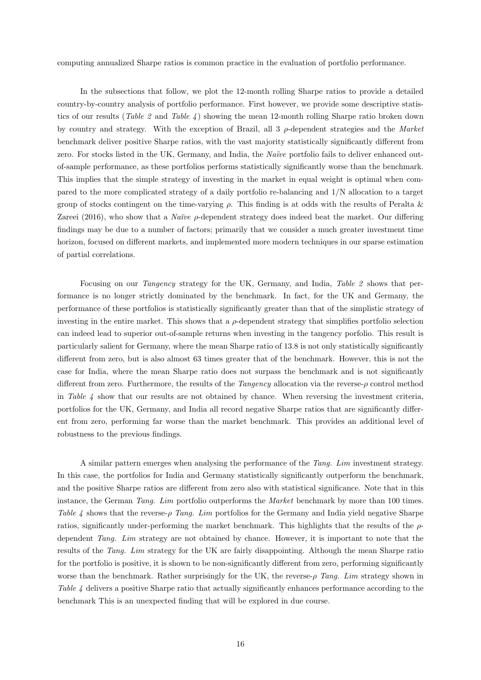computing annualized Sharpe ratios is common practice in the evaluation of portfolio performance.

In the subsections that follow, we plot the 12-month rolling Sharpe ratios to provide a detailed country-by-country analysis of portfolio performance. First however, we provide some descriptive statistics of our results (Table 2 and Table 4) showing the mean 12-month rolling Sharpe ratio broken down by country and strategy. With the exception of Brazil, all  $3\rho$ -dependent strategies and the Market benchmark deliver positive Sharpe ratios, with the vast majority statistically significantly different from zero. For stocks listed in the UK, Germany, and India, the Naïve portfolio fails to deliver enhanced outof-sample performance, as these portfolios performs statistically significantly worse than the benchmark. This implies that the simple strategy of investing in the market in equal weight is optimal when compared to the more complicated strategy of a daily portfolio re-balancing and 1/N allocation to a target group of stocks contingent on the time-varying  $\rho$ . This finding is at odds with the results of Peralta & Zareei (2016), who show that a *Naïve*  $\rho$ -dependent strategy does indeed beat the market. Our differing findings may be due to a number of factors; primarily that we consider a much greater investment time horizon, focused on different markets, and implemented more modern techniques in our sparse estimation of partial correlations.

Focusing on our *Tangency* strategy for the UK, Germany, and India, *Table 2* shows that performance is no longer strictly dominated by the benchmark. In fact, for the UK and Germany, the performance of these portfolios is statistically significantly greater than that of the simplistic strategy of investing in the entire market. This shows that a  $\rho$ -dependent strategy that simplifies portfolio selection can indeed lead to superior out-of-sample returns when investing in the tangency porfolio. This result is particularly salient for Germany, where the mean Sharpe ratio of 13.8 is not only statistically significantly different from zero, but is also almost 63 times greater that of the benchmark. However, this is not the case for India, where the mean Sharpe ratio does not surpass the benchmark and is not significantly different from zero. Furthermore, the results of the *Tangency* allocation via the reverse- $\rho$  control method in Table 4 show that our results are not obtained by chance. When reversing the investment criteria, portfolios for the UK, Germany, and India all record negative Sharpe ratios that are significantly different from zero, performing far worse than the market benchmark. This provides an additional level of robustness to the previous findings.

A similar pattern emerges when analysing the performance of the Tang. Lim investment strategy. In this case, the portfolios for India and Germany statistically significantly outperform the benchmark, and the positive Sharpe ratios are different from zero also with statistical significance. Note that in this instance, the German Tang. Lim portfolio outperforms the Market benchmark by more than 100 times. Table 4 shows that the reverse- $\rho$  Tang. Lim portfolios for the Germany and India yield negative Sharpe ratios, significantly under-performing the market benchmark. This highlights that the results of the  $\rho$ dependent Tang. Lim strategy are not obtained by chance. However, it is important to note that the results of the Tang. Lim strategy for the UK are fairly disappointing. Although the mean Sharpe ratio for the portfolio is positive, it is shown to be non-significantly different from zero, performing significantly worse than the benchmark. Rather surprisingly for the UK, the reverse- $\rho$  Tang. Lim strategy shown in Table 4 delivers a positive Sharpe ratio that actually significantly enhances performance according to the benchmark This is an unexpected finding that will be explored in due course.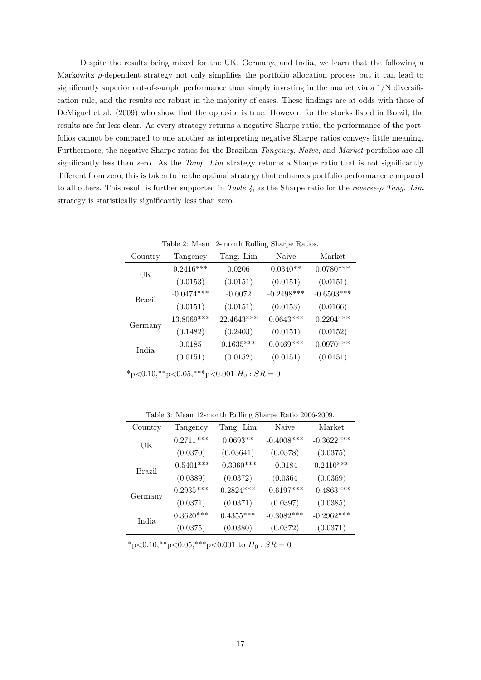Despite the results being mixed for the UK, Germany, and India, we learn that the following a Markowitz  $\rho$ -dependent strategy not only simplifies the portfolio allocation process but it can lead to significantly superior out-of-sample performance than simply investing in the market via a  $1/N$  diversification rule, and the results are robust in the majority of cases. These findings are at odds with those of DeMiguel et al. (2009) who show that the opposite is true. However, for the stocks listed in Brazil, the results are far less clear. As every strategy returns a negative Sharpe ratio, the performance of the portfolios cannot be compared to one another as interpreting negative Sharpe ratios conveys little meaning. Furthermore, the negative Sharpe ratios for the Brazilian Tangency, Naïve, and Market portfolios are all significantly less than zero. As the Tang. Lim strategy returns a Sharpe ratio that is not significantly different from zero, this is taken to be the optimal strategy that enhances portfolio performance compared to all others. This result is further supported in Table 4, as the Sharpe ratio for the reverse- $\rho$  Tang. Lim strategy is statistically significantly less than zero.

| Table 2: Mean 12-month Rolling Sharpe Ratios. |              |             |              |              |
|-----------------------------------------------|--------------|-------------|--------------|--------------|
| Country                                       | Tangency     | Tang. Lim   | Naive        | Market       |
| UK                                            | $0.2416***$  | 0.0206      | $0.0340**$   | $0.0780***$  |
|                                               | (0.0153)     | (0.0151)    | (0.0151)     | (0.0151)     |
| <b>Brazil</b>                                 | $-0.0474***$ | $-0.0072$   | $-0.2498***$ | $-0.6503***$ |
|                                               | (0.0151)     | (0.0151)    | (0.0153)     | (0.0166)     |
| Germany                                       | 13.8069 ***  | 22.4643***  | $0.0643***$  | $0.2204***$  |
|                                               | (0.1482)     | (0.2403)    | (0.0151)     | (0.0152)     |
| India                                         | 0.0185       | $0.1635***$ | $0.0469***$  | $0.0970***$  |
|                                               | (0.0151)     | (0.0152)    | (0.0151)     | (0.0151)     |

Table 2: Mean 12-month Rolling Sharpe Ratios.

 $*_{p<0.10,**_{p<0.05,***_{p<0.001} H_0}$ :  $SR = 0$ 

Table 3: Mean 12-month Rolling Sharpe Ratio 2006-2009.

| Country | Tangency     | Tang. Lim    | Naive         | Market       |
|---------|--------------|--------------|---------------|--------------|
| UK      | $0.2711***$  | $0.0693**$   | $-0.4008$ *** | $-0.3622***$ |
|         | (0.0370)     | (0.03641)    | (0.0378)      | (0.0375)     |
| Brazil  | $-0.5401***$ | $-0.3060***$ | $-0.0184$     | $0.2410***$  |
|         | (0.0389)     | (0.0372)     | (0.0364)      | (0.0369)     |
| Germany | $0.2935***$  | $0.2824***$  | $-0.6197***$  | $-0.4863***$ |
|         | (0.0371)     | (0.0371)     | (0.0397)      | (0.0385)     |
| India   | $0.3620***$  | $0.4355***$  | $-0.3082***$  | $-0.2962***$ |
|         | (0.0375)     | (0.0380)     | (0.0372)      | (0.0371)     |

 $*_{p<0.10,**_{p<0.05,***_{p<0.001}} \text{ to } H_0:SR=0$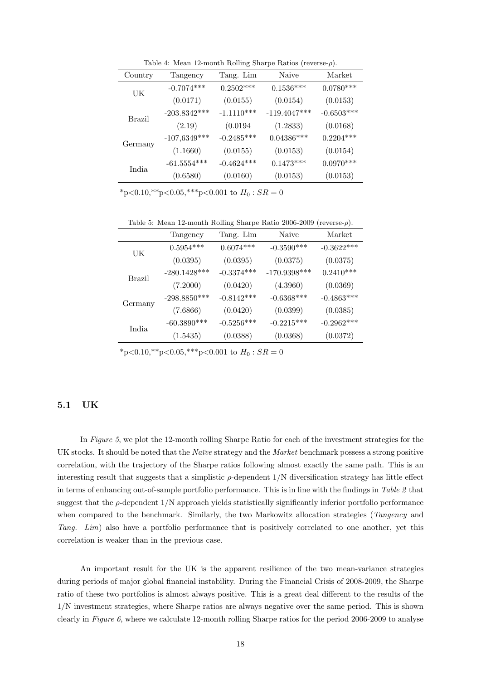Table 4: Mean 12-month Rolling Sharpe Ratios (reverse- $\rho$ ).

| Country | Tangency                       | Tang. Lim    | Naive          | Market       |
|---------|--------------------------------|--------------|----------------|--------------|
| UK      | $-0.7074***$                   | $0.2502***$  | $0.1536***$    | $0.0780***$  |
|         | (0.0171)                       | (0.0155)     | (0.0154)       | (0.0153)     |
| Brazil  | $-203.8342***$                 | $-1.1110***$ | $-119.4047***$ | $-0.6503***$ |
|         | (2.19)                         | (0.0194)     | (1.2833)       | (0.0168)     |
| Germany | $-107,6349***$                 | $-0.2485***$ | $0.04386***$   | $0.2204***$  |
|         | (1.1660)                       | (0.0155)     | (0.0153)       | (0.0154)     |
| India   | $\text{-}61.5554^{\text{***}}$ | $-0.4624***$ | $0.1473***$    | $0.0970***$  |
|         | (0.6580)                       | (0.0160)     | (0.0153)       | (0.0153)     |

 $*_{p<0.10,**_{p}<0.05,***_{p}<0.001}$  to  $H_0$ :  $SR = 0$ 

Table 5: Mean 12-month Rolling Sharpe Ratio 2006-2009 (reverse- $\rho$ ).

|         | Tangency                   | Tang. Lim    | Naive          | Market       |
|---------|----------------------------|--------------|----------------|--------------|
| UK      | $0.5954***$                | $0.6074***$  | $-0.3590***$   | $-0.3622***$ |
|         | (0.0395)                   | (0.0395)     | (0.0375)       | (0.0375)     |
| Brazil  | $-280.1428^{\ast\ast\ast}$ | $-0.3374***$ | $-170.9398***$ | $0.2410***$  |
|         | (7.2000)                   | (0.0420)     | (4.3960)       | (0.0369)     |
| Germany | $-298.8850***$             | $-0.8142***$ | $-0.6368***$   | $-0.4863***$ |
|         | (7.6866)                   | (0.0420)     | (0.0399)       | (0.0385)     |
| India   | $-60.3890***$              | $-0.5256***$ | $-0.2215***$   | $-0.2962***$ |
|         | (1.5435)                   | (0.0388)     | (0.0368)       | (0.0372)     |

 $*_{p<0.10,**_{p}<0.05,***_{p}<0.001}$  to  $H_0$ :  $SR = 0$ 

#### 5.1 UK

In Figure 5, we plot the 12-month rolling Sharpe Ratio for each of the investment strategies for the UK stocks. It should be noted that the Naïve strategy and the Market benchmark possess a strong positive correlation, with the trajectory of the Sharpe ratios following almost exactly the same path. This is an interesting result that suggests that a simplistic  $\rho$ -dependent  $1/N$  diversification strategy has little effect in terms of enhancing out-of-sample portfolio performance. This is in line with the findings in Table 2 that suggest that the  $\rho$ -dependent  $1/N$  approach yields statistically significantly inferior portfolio performance when compared to the benchmark. Similarly, the two Markowitz allocation strategies (*Tangency* and Tang. Lim) also have a portfolio performance that is positively correlated to one another, yet this correlation is weaker than in the previous case.

An important result for the UK is the apparent resilience of the two mean-variance strategies during periods of major global financial instability. During the Financial Crisis of 2008-2009, the Sharpe ratio of these two portfolios is almost always positive. This is a great deal different to the results of the 1/N investment strategies, where Sharpe ratios are always negative over the same period. This is shown clearly in Figure 6, where we calculate 12-month rolling Sharpe ratios for the period 2006-2009 to analyse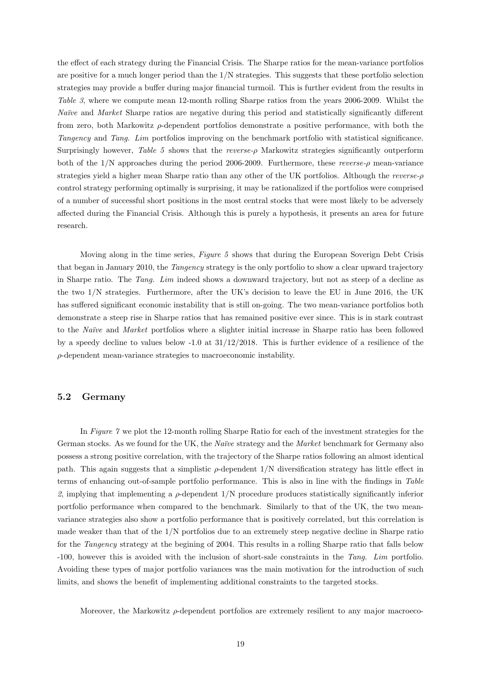the effect of each strategy during the Financial Crisis. The Sharpe ratios for the mean-variance portfolios are positive for a much longer period than the 1/N strategies. This suggests that these portfolio selection strategies may provide a buffer during major financial turmoil. This is further evident from the results in Table 3, where we compute mean 12-month rolling Sharpe ratios from the years 2006-2009. Whilst the Naïve and Market Sharpe ratios are negative during this period and statistically significantly different from zero, both Markowitz  $\rho$ -dependent portfolios demonstrate a positive performance, with both the Tangency and Tang. Lim portfolios improving on the benchmark portfolio with statistical significance. Surprisingly however, Table 5 shows that the reverse-ρ Markowitz strategies significantly outperform both of the  $1/N$  approaches during the period 2006-2009. Furthermore, these reverse- $\rho$  mean-variance strategies yield a higher mean Sharpe ratio than any other of the UK portfolios. Although the reverse-ρ control strategy performing optimally is surprising, it may be rationalized if the portfolios were comprised of a number of successful short positions in the most central stocks that were most likely to be adversely affected during the Financial Crisis. Although this is purely a hypothesis, it presents an area for future research.

Moving along in the time series, Figure 5 shows that during the European Soverign Debt Crisis that began in January 2010, the Tangency strategy is the only portfolio to show a clear upward trajectory in Sharpe ratio. The Tang. Lim indeed shows a downward trajectory, but not as steep of a decline as the two 1/N strategies. Furthermore, after the UK's decision to leave the EU in June 2016, the UK has suffered significant economic instability that is still on-going. The two mean-variance portfolios both demonstrate a steep rise in Sharpe ratios that has remained positive ever since. This is in stark contrast to the Naïve and Market portfolios where a slighter initial increase in Sharpe ratio has been followed by a speedy decline to values below -1.0 at 31/12/2018. This is further evidence of a resilience of the ρ-dependent mean-variance strategies to macroeconomic instability.

#### 5.2 Germany

In Figure 7 we plot the 12-month rolling Sharpe Ratio for each of the investment strategies for the German stocks. As we found for the UK, the *Naïve* strategy and the *Market* benchmark for Germany also possess a strong positive correlation, with the trajectory of the Sharpe ratios following an almost identical path. This again suggests that a simplistic  $\rho$ -dependent  $1/N$  diversification strategy has little effect in terms of enhancing out-of-sample portfolio performance. This is also in line with the findings in Table 2, implying that implementing a  $\rho$ -dependent 1/N procedure produces statistically significantly inferior portfolio performance when compared to the benchmark. Similarly to that of the UK, the two meanvariance strategies also show a portfolio performance that is positively correlated, but this correlation is made weaker than that of the 1/N portfolios due to an extremely steep negative decline in Sharpe ratio for the Tangency strategy at the begining of 2004. This results in a rolling Sharpe ratio that falls below -100, however this is avoided with the inclusion of short-sale constraints in the Tang. Lim portfolio. Avoiding these types of major portfolio variances was the main motivation for the introduction of such limits, and shows the benefit of implementing additional constraints to the targeted stocks.

Moreover, the Markowitz  $\rho$ -dependent portfolios are extremely resilient to any major macroeco-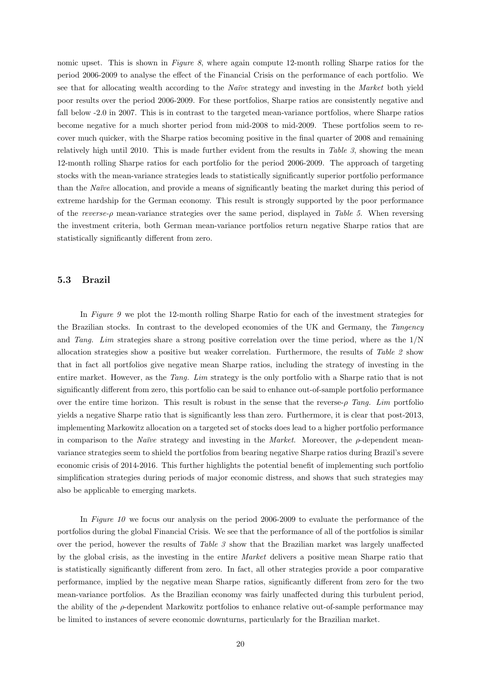nomic upset. This is shown in Figure 8, where again compute 12-month rolling Sharpe ratios for the period 2006-2009 to analyse the effect of the Financial Crisis on the performance of each portfolio. We see that for allocating wealth according to the Naïve strategy and investing in the Market both yield poor results over the period 2006-2009. For these portfolios, Sharpe ratios are consistently negative and fall below -2.0 in 2007. This is in contrast to the targeted mean-variance portfolios, where Sharpe ratios become negative for a much shorter period from mid-2008 to mid-2009. These portfolios seem to recover much quicker, with the Sharpe ratios becoming positive in the final quarter of 2008 and remaining relatively high until 2010. This is made further evident from the results in Table 3, showing the mean 12-month rolling Sharpe ratios for each portfolio for the period 2006-2009. The approach of targeting stocks with the mean-variance strategies leads to statistically significantly superior portfolio performance than the Naïve allocation, and provide a means of significantly beating the market during this period of extreme hardship for the German economy. This result is strongly supported by the poor performance of the reverse-ρ mean-variance strategies over the same period, displayed in Table 5. When reversing the investment criteria, both German mean-variance portfolios return negative Sharpe ratios that are statistically significantly different from zero.

#### 5.3 Brazil

In Figure 9 we plot the 12-month rolling Sharpe Ratio for each of the investment strategies for the Brazilian stocks. In contrast to the developed economies of the UK and Germany, the Tangency and Tang. Lim strategies share a strong positive correlation over the time period, where as the 1/N allocation strategies show a positive but weaker correlation. Furthermore, the results of Table 2 show that in fact all portfolios give negative mean Sharpe ratios, including the strategy of investing in the entire market. However, as the Tang. Lim strategy is the only portfolio with a Sharpe ratio that is not significantly different from zero, this portfolio can be said to enhance out-of-sample portfolio performance over the entire time horizon. This result is robust in the sense that the reverse- $\rho$  Tang. Lim portfolio yields a negative Sharpe ratio that is significantly less than zero. Furthermore, it is clear that post-2013, implementing Markowitz allocation on a targeted set of stocks does lead to a higher portfolio performance in comparison to the Naïve strategy and investing in the Market. Moreover, the  $\rho$ -dependent meanvariance strategies seem to shield the portfolios from bearing negative Sharpe ratios during Brazil's severe economic crisis of 2014-2016. This further highlights the potential benefit of implementing such portfolio simplification strategies during periods of major economic distress, and shows that such strategies may also be applicable to emerging markets.

In Figure 10 we focus our analysis on the period 2006-2009 to evaluate the performance of the portfolios during the global Financial Crisis. We see that the performance of all of the portfolios is similar over the period, however the results of Table  $\beta$  show that the Brazilian market was largely unaffected by the global crisis, as the investing in the entire Market delivers a positive mean Sharpe ratio that is statistically significantly different from zero. In fact, all other strategies provide a poor comparative performance, implied by the negative mean Sharpe ratios, significantly different from zero for the two mean-variance portfolios. As the Brazilian economy was fairly unaffected during this turbulent period, the ability of the ρ-dependent Markowitz portfolios to enhance relative out-of-sample performance may be limited to instances of severe economic downturns, particularly for the Brazilian market.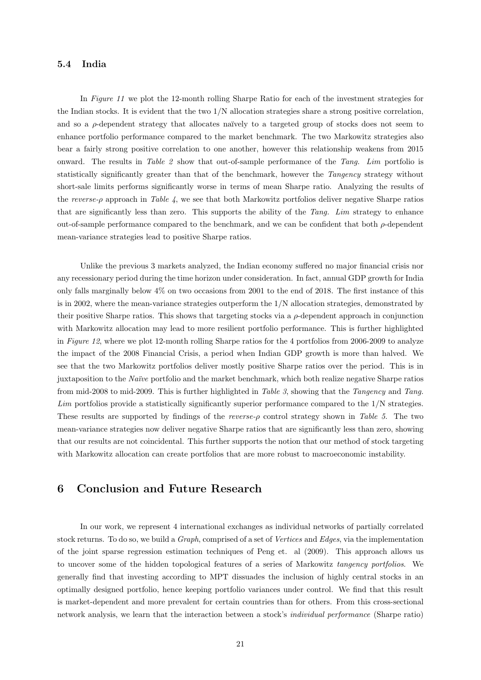#### 5.4 India

In Figure 11 we plot the 12-month rolling Sharpe Ratio for each of the investment strategies for the Indian stocks. It is evident that the two 1/N allocation strategies share a strong positive correlation, and so a  $\rho$ -dependent strategy that allocates naïvely to a targeted group of stocks does not seem to enhance portfolio performance compared to the market benchmark. The two Markowitz strategies also bear a fairly strong positive correlation to one another, however this relationship weakens from 2015 onward. The results in Table 2 show that out-of-sample performance of the Tang. Lim portfolio is statistically significantly greater than that of the benchmark, however the Tangency strategy without short-sale limits performs significantly worse in terms of mean Sharpe ratio. Analyzing the results of the reverse- $\rho$  approach in Table 4, we see that both Markowitz portfolios deliver negative Sharpe ratios that are significantly less than zero. This supports the ability of the Tang. Lim strategy to enhance out-of-sample performance compared to the benchmark, and we can be confident that both  $\rho$ -dependent mean-variance strategies lead to positive Sharpe ratios.

Unlike the previous 3 markets analyzed, the Indian economy suffered no major financial crisis nor any recessionary period during the time horizon under consideration. In fact, annual GDP growth for India only falls marginally below 4% on two occasions from 2001 to the end of 2018. The first instance of this is in 2002, where the mean-variance strategies outperform the 1/N allocation strategies, demonstrated by their positive Sharpe ratios. This shows that targeting stocks via a  $\rho$ -dependent approach in conjunction with Markowitz allocation may lead to more resilient portfolio performance. This is further highlighted in Figure 12, where we plot 12-month rolling Sharpe ratios for the 4 portfolios from 2006-2009 to analyze the impact of the 2008 Financial Crisis, a period when Indian GDP growth is more than halved. We see that the two Markowitz portfolios deliver mostly positive Sharpe ratios over the period. This is in juxtaposition to the Naïve portfolio and the market benchmark, which both realize negative Sharpe ratios from mid-2008 to mid-2009. This is further highlighted in Table 3, showing that the Tangency and Tang. Lim portfolios provide a statistically significantly superior performance compared to the 1/N strategies. These results are supported by findings of the reverse- $\rho$  control strategy shown in Table 5. The two mean-variance strategies now deliver negative Sharpe ratios that are significantly less than zero, showing that our results are not coincidental. This further supports the notion that our method of stock targeting with Markowitz allocation can create portfolios that are more robust to macroeconomic instability.

### 6 Conclusion and Future Research

In our work, we represent 4 international exchanges as individual networks of partially correlated stock returns. To do so, we build a Graph, comprised of a set of Vertices and Edges, via the implementation of the joint sparse regression estimation techniques of Peng et. al (2009). This approach allows us to uncover some of the hidden topological features of a series of Markowitz tangency portfolios. We generally find that investing according to MPT dissuades the inclusion of highly central stocks in an optimally designed portfolio, hence keeping portfolio variances under control. We find that this result is market-dependent and more prevalent for certain countries than for others. From this cross-sectional network analysis, we learn that the interaction between a stock's individual performance (Sharpe ratio)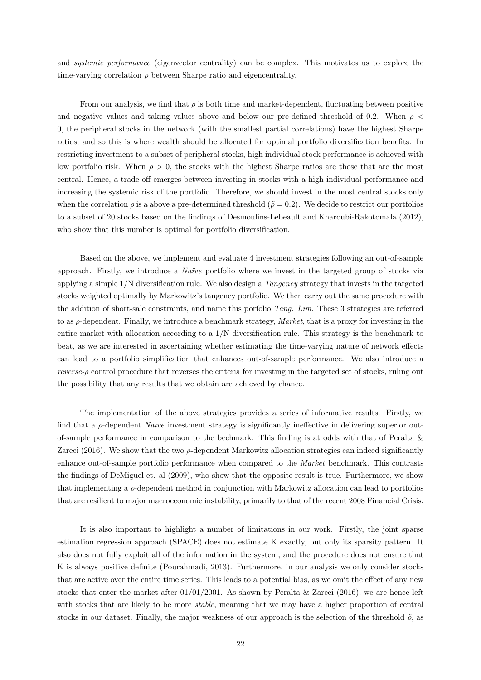and systemic performance (eigenvector centrality) can be complex. This motivates us to explore the time-varying correlation  $\rho$  between Sharpe ratio and eigencentrality.

From our analysis, we find that  $\rho$  is both time and market-dependent, fluctuating between positive and negative values and taking values above and below our pre-defined threshold of 0.2. When  $\rho$  < 0, the peripheral stocks in the network (with the smallest partial correlations) have the highest Sharpe ratios, and so this is where wealth should be allocated for optimal portfolio diversification benefits. In restricting investment to a subset of peripheral stocks, high individual stock performance is achieved with low portfolio risk. When  $\rho > 0$ , the stocks with the highest Sharpe ratios are those that are the most central. Hence, a trade-off emerges between investing in stocks with a high individual performance and increasing the systemic risk of the portfolio. Therefore, we should invest in the most central stocks only when the correlation  $\rho$  is a above a pre-determined threshold ( $\tilde{\rho} = 0.2$ ). We decide to restrict our portfolios to a subset of 20 stocks based on the findings of Desmoulins-Lebeault and Kharoubi-Rakotomala (2012), who show that this number is optimal for portfolio diversification.

Based on the above, we implement and evaluate 4 investment strategies following an out-of-sample approach. Firstly, we introduce a *Naïve* portfolio where we invest in the targeted group of stocks via applying a simple  $1/N$  diversification rule. We also design a *Tangency* strategy that invests in the targeted stocks weighted optimally by Markowitz's tangency portfolio. We then carry out the same procedure with the addition of short-sale constraints, and name this porfolio Tang. Lim. These 3 strategies are referred to as  $\rho$ -dependent. Finally, we introduce a benchmark strategy, *Market*, that is a proxy for investing in the entire market with allocation according to a 1/N diversification rule. This strategy is the benchmark to beat, as we are interested in ascertaining whether estimating the time-varying nature of network effects can lead to a portfolio simplification that enhances out-of-sample performance. We also introduce a reverse-ρ control procedure that reverses the criteria for investing in the targeted set of stocks, ruling out the possibility that any results that we obtain are achieved by chance.

The implementation of the above strategies provides a series of informative results. Firstly, we find that a  $\rho$ -dependent *Naïve* investment strategy is significantly ineffective in delivering superior outof-sample performance in comparison to the bechmark. This finding is at odds with that of Peralta & Zareei (2016). We show that the two  $\rho$ -dependent Markowitz allocation strategies can indeed significantly enhance out-of-sample portfolio performance when compared to the Market benchmark. This contrasts the findings of DeMiguel et. al (2009), who show that the opposite result is true. Furthermore, we show that implementing a  $\rho$ -dependent method in conjunction with Markowitz allocation can lead to portfolios that are resilient to major macroeconomic instability, primarily to that of the recent 2008 Financial Crisis.

It is also important to highlight a number of limitations in our work. Firstly, the joint sparse estimation regression approach (SPACE) does not estimate K exactly, but only its sparsity pattern. It also does not fully exploit all of the information in the system, and the procedure does not ensure that K is always positive definite (Pourahmadi, 2013). Furthermore, in our analysis we only consider stocks that are active over the entire time series. This leads to a potential bias, as we omit the effect of any new stocks that enter the market after  $01/01/2001$ . As shown by Peralta & Zareei (2016), we are hence left with stocks that are likely to be more *stable*, meaning that we may have a higher proportion of central stocks in our dataset. Finally, the major weakness of our approach is the selection of the threshold  $\tilde{\rho}$ , as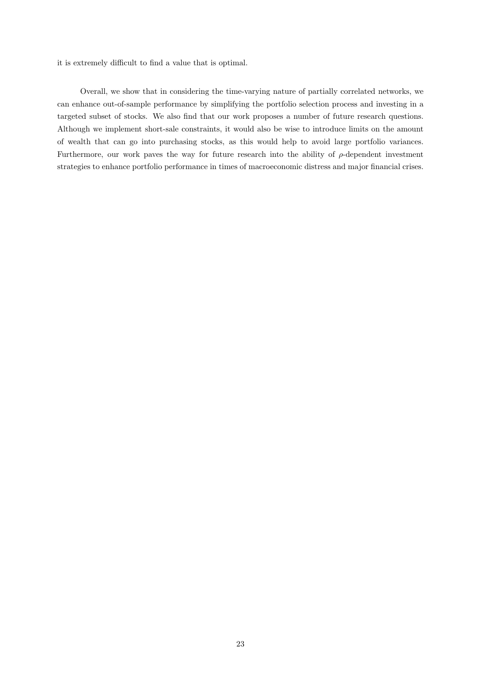it is extremely difficult to find a value that is optimal.

Overall, we show that in considering the time-varying nature of partially correlated networks, we can enhance out-of-sample performance by simplifying the portfolio selection process and investing in a targeted subset of stocks. We also find that our work proposes a number of future research questions. Although we implement short-sale constraints, it would also be wise to introduce limits on the amount of wealth that can go into purchasing stocks, as this would help to avoid large portfolio variances. Furthermore, our work paves the way for future research into the ability of  $\rho$ -dependent investment strategies to enhance portfolio performance in times of macroeconomic distress and major financial crises.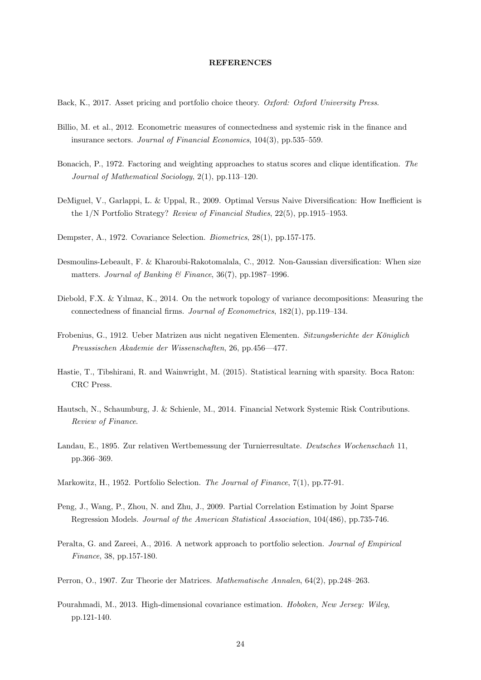#### REFERENCES

Back, K., 2017. Asset pricing and portfolio choice theory. Oxford: Oxford University Press.

- Billio, M. et al., 2012. Econometric measures of connectedness and systemic risk in the finance and insurance sectors. Journal of Financial Economics, 104(3), pp.535–559.
- Bonacich, P., 1972. Factoring and weighting approaches to status scores and clique identification. The Journal of Mathematical Sociology, 2(1), pp.113–120.
- DeMiguel, V., Garlappi, L. & Uppal, R., 2009. Optimal Versus Naive Diversification: How Inefficient is the 1/N Portfolio Strategy? Review of Financial Studies, 22(5), pp.1915–1953.
- Dempster, A., 1972. Covariance Selection. Biometrics, 28(1), pp.157-175.
- Desmoulins-Lebeault, F. & Kharoubi-Rakotomalala, C., 2012. Non-Gaussian diversification: When size matters. Journal of Banking  $\mathcal B$  Finance, 36(7), pp.1987–1996.
- Diebold, F.X. & Yılmaz, K., 2014. On the network topology of variance decompositions: Measuring the connectedness of financial firms. Journal of Econometrics, 182(1), pp.119–134.
- Frobenius, G., 1912. Ueber Matrizen aus nicht negativen Elementen. Sitzungsberichte der Königlich Preussischen Akademie der Wissenschaften, 26, pp.456—477.
- Hastie, T., Tibshirani, R. and Wainwright, M. (2015). Statistical learning with sparsity. Boca Raton: CRC Press.
- Hautsch, N., Schaumburg, J. & Schienle, M., 2014. Financial Network Systemic Risk Contributions. Review of Finance.
- Landau, E., 1895. Zur relativen Wertbemessung der Turnierresultate. Deutsches Wochenschach 11, pp.366–369.
- Markowitz, H., 1952. Portfolio Selection. The Journal of Finance, 7(1), pp.77-91.
- Peng, J., Wang, P., Zhou, N. and Zhu, J., 2009. Partial Correlation Estimation by Joint Sparse Regression Models. Journal of the American Statistical Association, 104(486), pp.735-746.
- Peralta, G. and Zareei, A., 2016. A network approach to portfolio selection. Journal of Empirical Finance, 38, pp.157-180.
- Perron, O., 1907. Zur Theorie der Matrices. Mathematische Annalen, 64(2), pp.248–263.
- Pourahmadi, M., 2013. High-dimensional covariance estimation. Hoboken, New Jersey: Wiley, pp.121-140.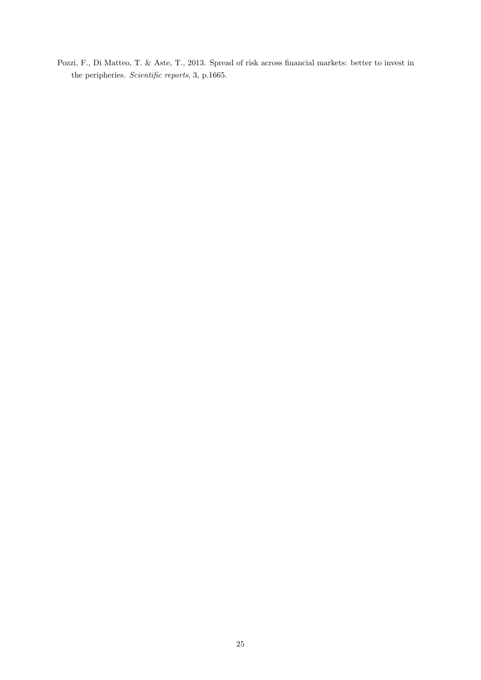Pozzi, F., Di Matteo, T. & Aste, T., 2013. Spread of risk across financial markets: better to invest in the peripheries. Scientific reports, 3, p.1665.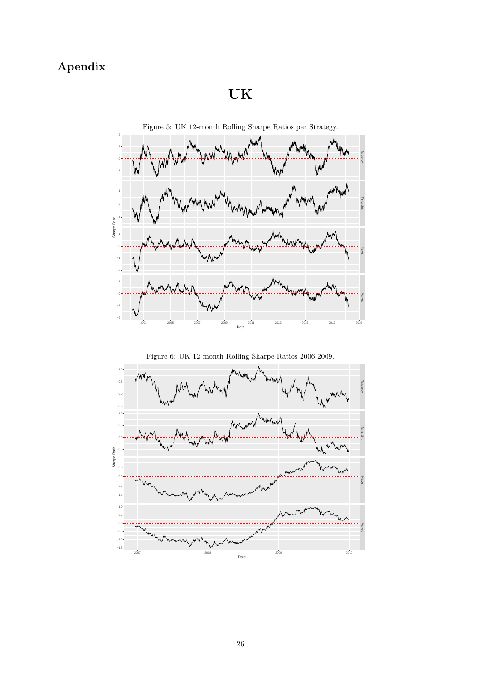## Apendix

## UK





Figure 6: UK 12-month Rolling Sharpe Ratios 2006-2009.

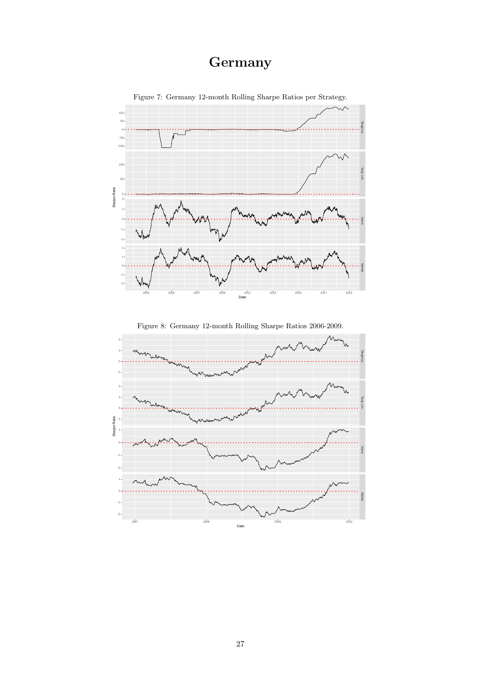## **Germany**



Figure 7: Germany 12-month Rolling Sharpe Ratios per Strategy.

Figure 8: Germany 12-month Rolling Sharpe Ratios 2006-2009.

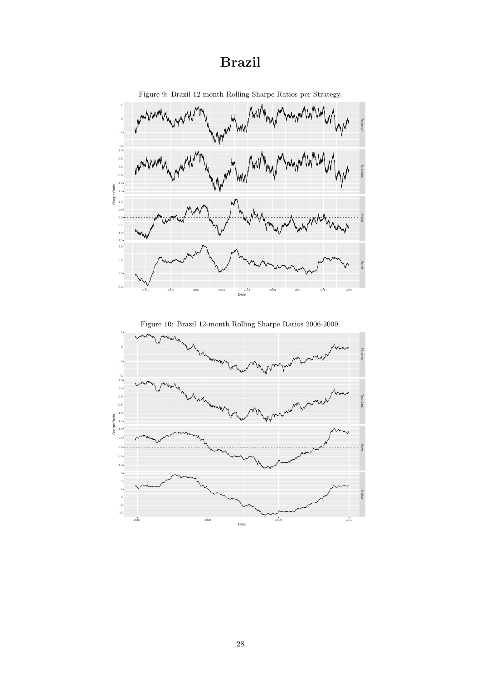## Brazil



Figure 9: Brazil 12-month Rolling Sharpe Ratios per Strategy.

Figure 10: Brazil 12-month Rolling Sharpe Ratios 2006-2009.